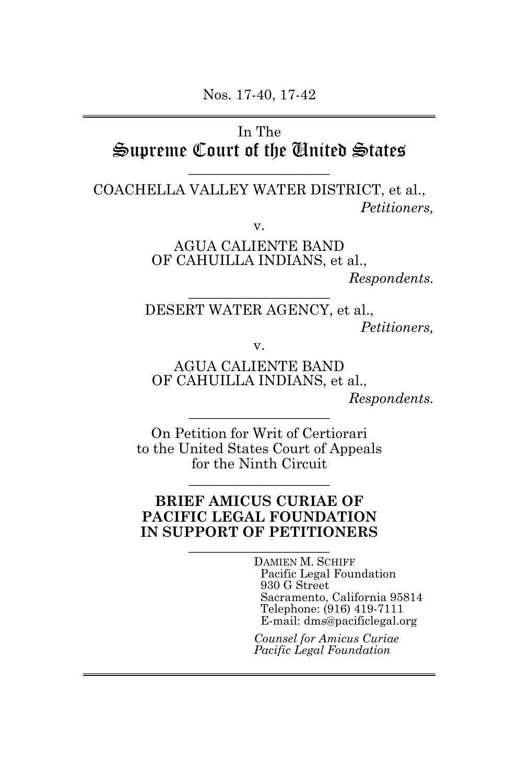Nos. 17-40, 17-42

## In The Supreme Court of the United States

\_\_\_\_\_\_\_\_\_\_\_\_\_\_\_\_\_\_\_\_

COACHELLA VALLEY WATER DISTRICT, et al., *Petitioners,*

v.

AGUA CALIENTE BAND OF CAHUILLA INDIANS, et al.,

*Respondents.*

DESERT WATER AGENCY, et al., *Petitioners,*

v.

\_\_\_\_\_\_\_\_\_\_\_\_\_\_\_\_\_\_\_\_

AGUA CALIENTE BAND OF CAHUILLA INDIANS, et al.,

*Respondents.*

On Petition for Writ of Certiorari to the United States Court of Appeals for the Ninth Circuit

\_\_\_\_\_\_\_\_\_\_\_\_\_\_\_\_\_\_\_\_

\_\_\_\_\_\_\_\_\_\_\_\_\_\_\_\_\_\_\_\_

### <span id="page-0-0"></span>**BRIEF AMICUS CURIAE OF PACIFIC LEGAL FOUNDATION IN SUPPORT OF PETITIONERS**

\_\_\_\_\_\_\_\_\_\_\_\_\_\_\_\_\_\_\_\_

DAMIEN M. SCHIFF Pacific Legal Foundation 930 G Street Sacramento, California 95814 Telephone: (916) 419-7111 E-mail: dms@pacificlegal.org

*Counsel for Amicus Curiae Pacific Legal Foundation*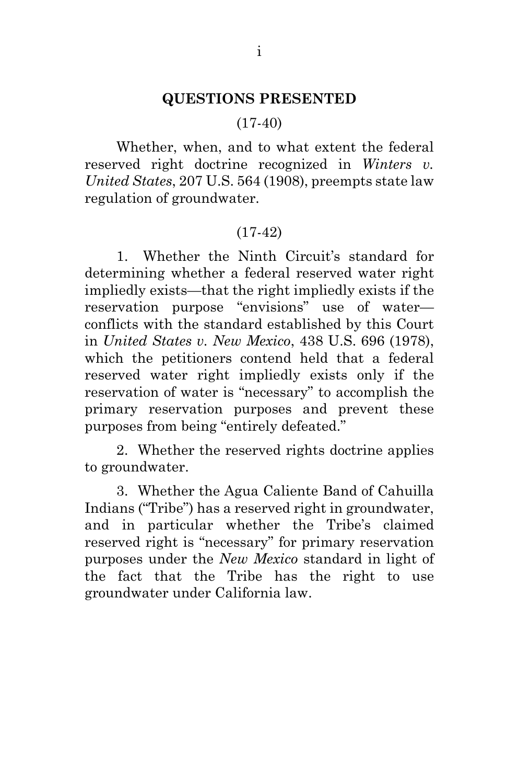#### **QUESTIONS PRESENTED**

#### $(17-40)$

Whether, when, and to what extent the federal reserved right doctrine recognized in *Winters v. United States*, 207 U.S. 564 (1908), preempts state law regulation of groundwater.

#### (17-42)

1. Whether the Ninth Circuit's standard for determining whether a federal reserved water right impliedly exists—that the right impliedly exists if the reservation purpose "envisions" use of water conflicts with the standard established by this Court in *United States v. New Mexico*, 438 U.S. 696 (1978), which the petitioners contend held that a federal reserved water right impliedly exists only if the reservation of water is "necessary" to accomplish the primary reservation purposes and prevent these purposes from being "entirely defeated."

2. Whether the reserved rights doctrine applies to groundwater.

3. Whether the Agua Caliente Band of Cahuilla Indians ("Tribe") has a reserved right in groundwater, and in particular whether the Tribe's claimed reserved right is "necessary" for primary reservation purposes under the *New Mexico* standard in light of the fact that the Tribe has the right to use groundwater under California law.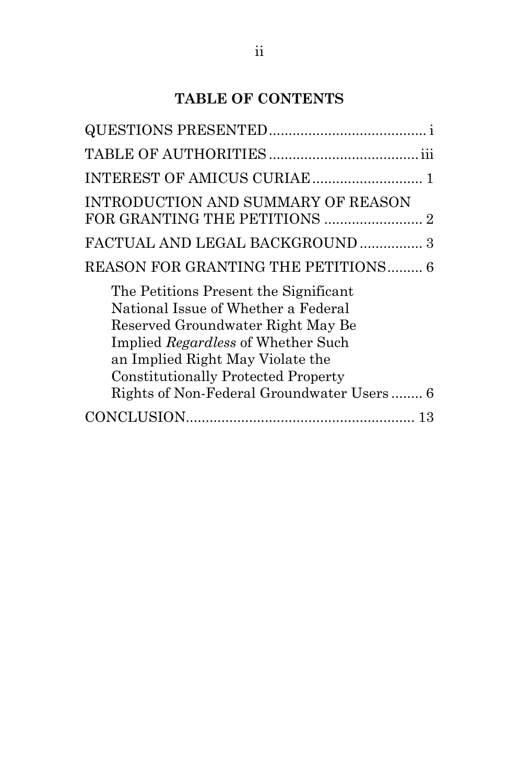## **TABLE OF CONTENTS**

| <b>INTRODUCTION AND SUMMARY OF REASON</b>                                                                                                                                                                                                                                              |  |
|----------------------------------------------------------------------------------------------------------------------------------------------------------------------------------------------------------------------------------------------------------------------------------------|--|
| FACTUAL AND LEGAL BACKGROUND  3                                                                                                                                                                                                                                                        |  |
| REASON FOR GRANTING THE PETITIONS 6                                                                                                                                                                                                                                                    |  |
| The Petitions Present the Significant<br>National Issue of Whether a Federal<br>Reserved Groundwater Right May Be<br>Implied Regardless of Whether Such<br>an Implied Right May Violate the<br><b>Constitutionally Protected Property</b><br>Rights of Non-Federal Groundwater Users 6 |  |
|                                                                                                                                                                                                                                                                                        |  |
|                                                                                                                                                                                                                                                                                        |  |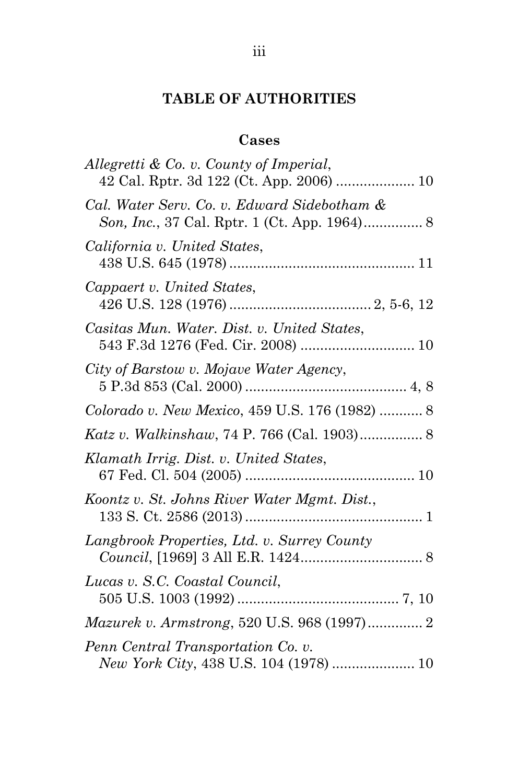### **TABLE OF AUTHORITIES**

# **Cases**

| Allegretti & Co. v. County of Imperial,<br>42 Cal. Rptr. 3d 122 (Ct. App. 2006)  10 |
|-------------------------------------------------------------------------------------|
| Cal. Water Serv. Co. v. Edward Sidebotham &                                         |
| California v. United States,                                                        |
| Cappaert v. United States,                                                          |
| Casitas Mun. Water. Dist. v. United States,<br>543 F.3d 1276 (Fed. Cir. 2008)  10   |
| City of Barstow v. Mojave Water Agency,                                             |
| Colorado v. New Mexico, 459 U.S. 176 (1982)  8                                      |
| Katz v. Walkinshaw, 74 P. 766 (Cal. 1903) 8                                         |
| Klamath Irrig. Dist. v. United States,                                              |
| Koontz v. St. Johns River Water Mgmt. Dist.,                                        |
| Langbrook Properties, Ltd. v. Surrey County                                         |
| Lucas v. S.C. Coastal Council,                                                      |
| Mazurek v. Armstrong, 520 U.S. 968 (1997) 2                                         |
| Penn Central Transportation Co. v.<br>New York City, 438 U.S. 104 (1978)  10        |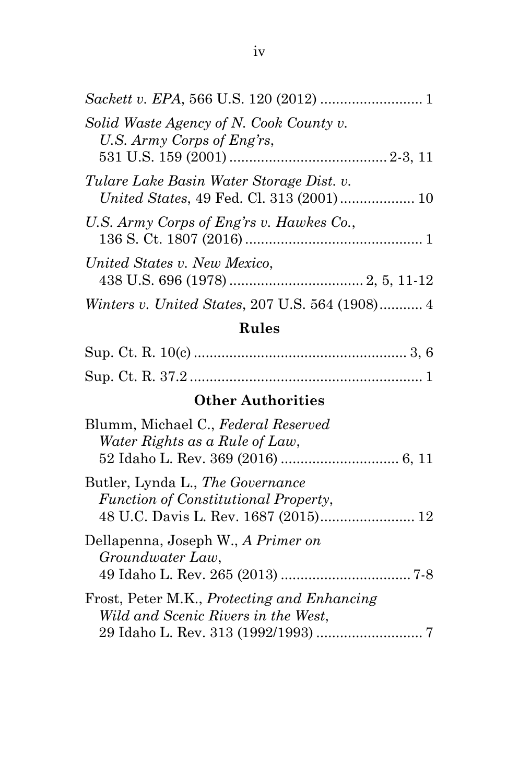| Solid Waste Agency of N. Cook County v.<br>U.S. Army Corps of Eng'rs,                |
|--------------------------------------------------------------------------------------|
| Tulare Lake Basin Water Storage Dist. v.<br>United States, 49 Fed. Cl. 313 (2001) 10 |
| U.S. Army Corps of Eng'rs v. Hawkes Co.,                                             |
| United States v. New Mexico,                                                         |
| <i>Winters v. United States, 207 U.S. 564 (1908)</i> 4                               |

## **Rules**

### **Other Authorities**

| Blumm, Michael C., Federal Reserved<br>Water Rights as a Rule of Law,              |  |
|------------------------------------------------------------------------------------|--|
|                                                                                    |  |
| Butler, Lynda L., The Governance<br>Function of Constitutional Property,           |  |
| Dellapenna, Joseph W., A Primer on<br>Groundwater Law,                             |  |
| Frost, Peter M.K., Protecting and Enhancing<br>Wild and Scenic Rivers in the West, |  |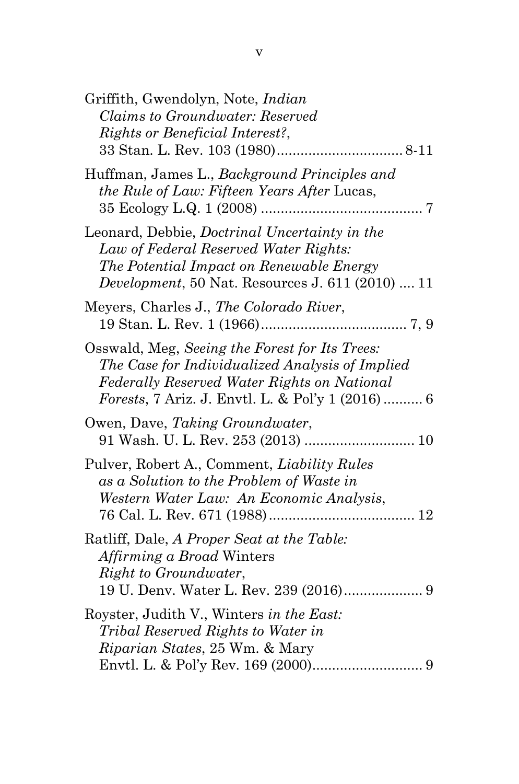| Griffith, Gwendolyn, Note, <i>Indian</i><br>Claims to Groundwater: Reserved<br>Rights or Beneficial Interest?,                                                                                        |  |
|-------------------------------------------------------------------------------------------------------------------------------------------------------------------------------------------------------|--|
| Huffman, James L., Background Principles and<br>the Rule of Law: Fifteen Years After Lucas,                                                                                                           |  |
| Leonard, Debbie, Doctrinal Uncertainty in the<br>Law of Federal Reserved Water Rights:<br>The Potential Impact on Renewable Energy<br><i>Development</i> , 50 Nat. Resources J. 611 (2010)  11        |  |
| Meyers, Charles J., The Colorado River,                                                                                                                                                               |  |
| Osswald, Meg, Seeing the Forest for Its Trees:<br>The Case for Individualized Analysis of Implied<br>Federally Reserved Water Rights on National<br>Forests, 7 Ariz. J. Envtl. L. & Pol'y 1 (2016)  6 |  |
| Owen, Dave, Taking Groundwater,                                                                                                                                                                       |  |
| Pulver, Robert A., Comment, <i>Liability Rules</i><br>as a Solution to the Problem of Waste in<br>Western Water Law: An Economic Analysis,<br>76 Cal. L. Rev. 671 (1988)<br>12                        |  |
| Ratliff, Dale, A Proper Seat at the Table:<br><i>Affirming a Broad Winters</i><br><i>Right to Groundwater,</i>                                                                                        |  |
| Royster, Judith V., Winters in the East:<br><i>Tribal Reserved Rights to Water in</i><br>Riparian States, 25 Wm. & Mary                                                                               |  |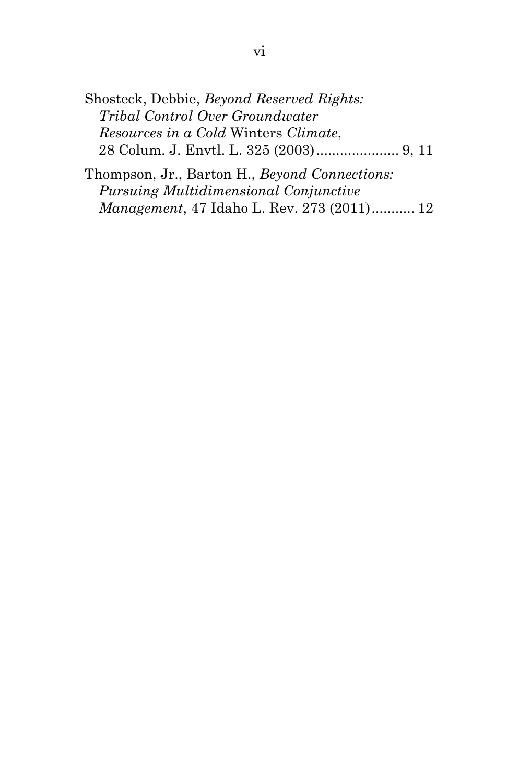| Shosteck, Debbie, Beyond Reserved Rights: |  |
|-------------------------------------------|--|
| Tribal Control Over Groundwater           |  |
| Resources in a Cold Winters Climate,      |  |
|                                           |  |

Thompson, Jr., Barton H., *Beyond Connections: Pursuing Multidimensional Conjunctive Management*, 47 Idaho L. Rev. 273 (2011)........... 12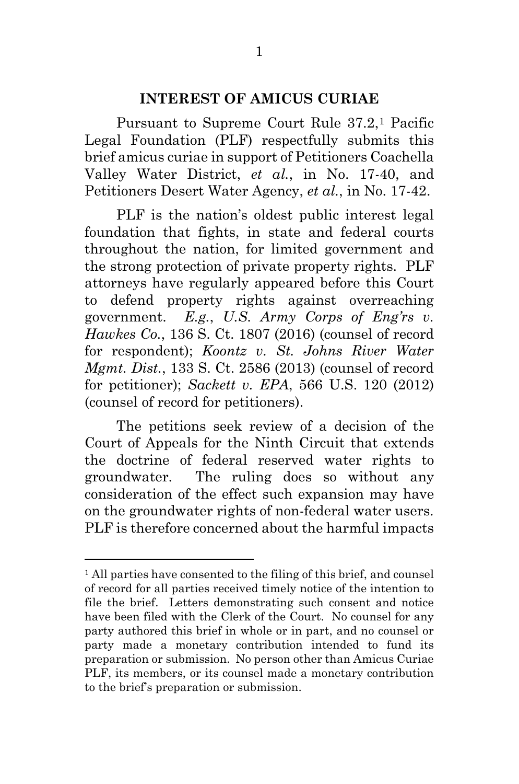#### **INTEREST OF AMICUS CURIAE**

Pursuant to Supreme Court Rule 37.2[,1](#page-0-0) Pacific Legal Foundation (PLF) respectfully submits this brief amicus curiae in support of Petitioners Coachella Valley Water District, *et al.*, in No. 17-40, and Petitioners Desert Water Agency, *et al.*, in No. 17-42.

PLF is the nation's oldest public interest legal foundation that fights, in state and federal courts throughout the nation, for limited government and the strong protection of private property rights. PLF attorneys have regularly appeared before this Court to defend property rights against overreaching government. *E.g.*, *U.S. Army Corps of Eng'rs v. Hawkes Co.*, 136 S. Ct. 1807 (2016) (counsel of record for respondent); *Koontz v. St. Johns River Water Mgmt. Dist.*, 133 S. Ct. 2586 (2013) (counsel of record for petitioner); *Sackett v. EPA*, 566 U.S. 120 (2012) (counsel of record for petitioners).

The petitions seek review of a decision of the Court of Appeals for the Ninth Circuit that extends the doctrine of federal reserved water rights to groundwater. The ruling does so without any consideration of the effect such expansion may have on the groundwater rights of non-federal water users. PLF is therefore concerned about the harmful impacts

<sup>&</sup>lt;sup>1</sup> All parties have consented to the filing of this brief, and counsel of record for all parties received timely notice of the intention to file the brief. Letters demonstrating such consent and notice have been filed with the Clerk of the Court. No counsel for any party authored this brief in whole or in part, and no counsel or party made a monetary contribution intended to fund its preparation or submission. No person other than Amicus Curiae PLF, its members, or its counsel made a monetary contribution to the brief's preparation or submission.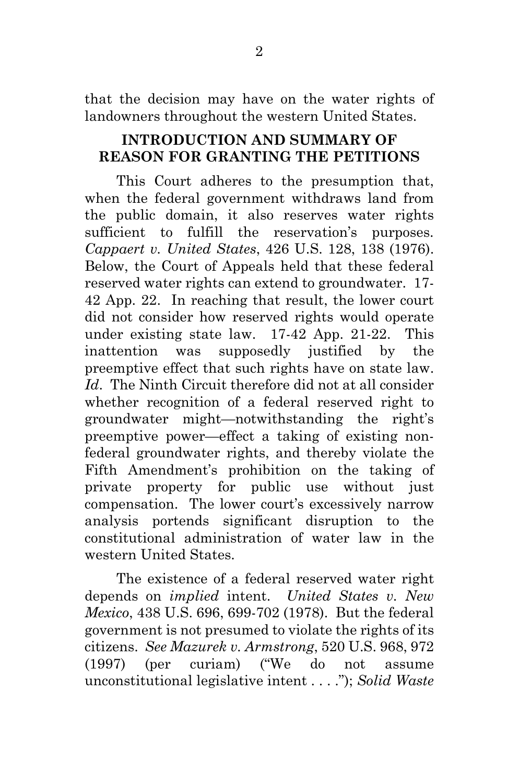that the decision may have on the water rights of landowners throughout the western United States.

### **INTRODUCTION AND SUMMARY OF REASON FOR GRANTING THE PETITIONS**

This Court adheres to the presumption that, when the federal government withdraws land from the public domain, it also reserves water rights sufficient to fulfill the reservation's purposes. *Cappaert v. United States*, 426 U.S. 128, 138 (1976). Below, the Court of Appeals held that these federal reserved water rights can extend to groundwater. 17- 42 App. 22. In reaching that result, the lower court did not consider how reserved rights would operate under existing state law. 17-42 App. 21-22. This inattention was supposedly justified by the preemptive effect that such rights have on state law. *Id*. The Ninth Circuit therefore did not at all consider whether recognition of a federal reserved right to groundwater might—notwithstanding the right's preemptive power—effect a taking of existing nonfederal groundwater rights, and thereby violate the Fifth Amendment's prohibition on the taking of private property for public use without just compensation. The lower court's excessively narrow analysis portends significant disruption to the constitutional administration of water law in the western United States.

The existence of a federal reserved water right depends on *implied* intent. *United States v. New Mexico*, 438 U.S. 696, 699-702 (1978). But the federal government is not presumed to violate the rights of its citizens. *See Mazurek v. Armstrong*, 520 U.S. 968, 972 (1997) (per curiam) ("We do not assume unconstitutional legislative intent . . . ."); *Solid Waste*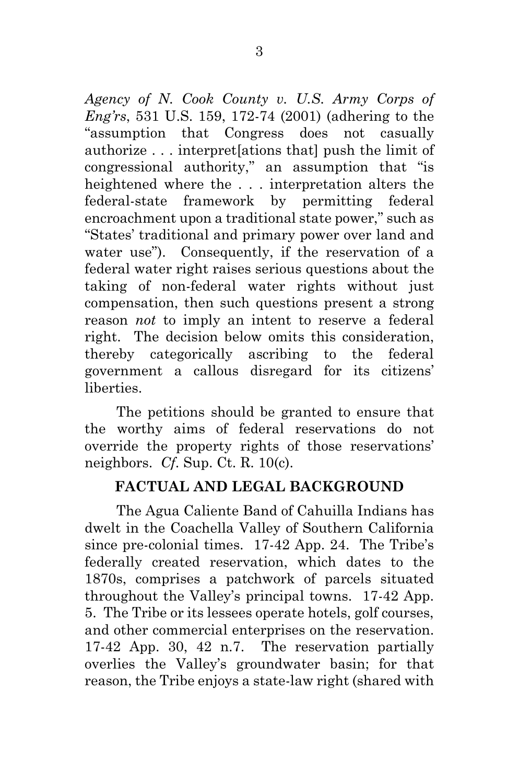*Agency of N. Cook County v. U.S. Army Corps of Eng'rs*, 531 U.S. 159, 172-74 (2001) (adhering to the "assumption that Congress does not casually authorize . . . interpret[ations that] push the limit of congressional authority," an assumption that "is heightened where the . . . interpretation alters the federal-state framework by permitting federal encroachment upon a traditional state power," such as "States' traditional and primary power over land and water use"). Consequently, if the reservation of a federal water right raises serious questions about the taking of non-federal water rights without just compensation, then such questions present a strong reason *not* to imply an intent to reserve a federal right. The decision below omits this consideration, thereby categorically ascribing to the federal government a callous disregard for its citizens' liberties.

The petitions should be granted to ensure that the worthy aims of federal reservations do not override the property rights of those reservations' neighbors. *Cf*. Sup. Ct. R. 10(c).

### **FACTUAL AND LEGAL BACKGROUND**

The Agua Caliente Band of Cahuilla Indians has dwelt in the Coachella Valley of Southern California since pre-colonial times. 17-42 App. 24. The Tribe's federally created reservation, which dates to the 1870s, comprises a patchwork of parcels situated throughout the Valley's principal towns. 17-42 App. 5. The Tribe or its lessees operate hotels, golf courses, and other commercial enterprises on the reservation. 17-42 App. 30, 42 n.7. The reservation partially overlies the Valley's groundwater basin; for that reason, the Tribe enjoys a state-law right (shared with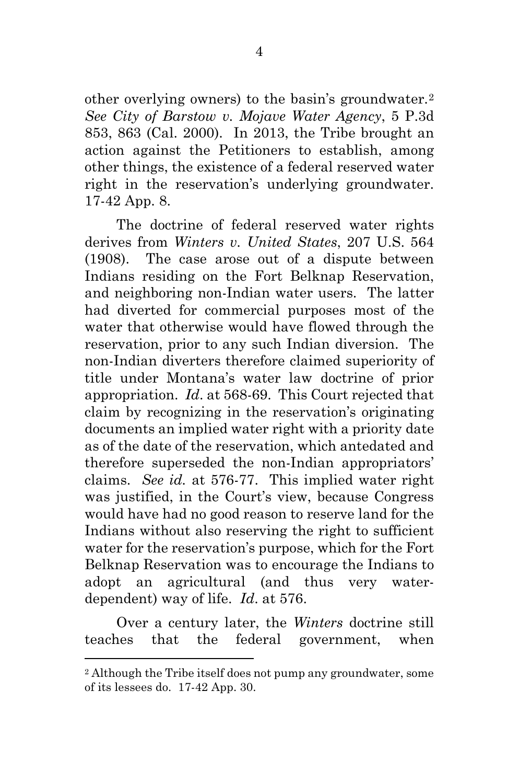other overlying owners) to the basin's groundwater.[2](#page-10-0) *See City of Barstow v. Mojave Water Agency*, 5 P.3d 853, 863 (Cal. 2000). In 2013, the Tribe brought an action against the Petitioners to establish, among other things, the existence of a federal reserved water right in the reservation's underlying groundwater. 17-42 App. 8.

The doctrine of federal reserved water rights derives from *Winters v. United States*, 207 U.S. 564 (1908). The case arose out of a dispute between Indians residing on the Fort Belknap Reservation, and neighboring non-Indian water users. The latter had diverted for commercial purposes most of the water that otherwise would have flowed through the reservation, prior to any such Indian diversion. The non-Indian diverters therefore claimed superiority of title under Montana's water law doctrine of prior appropriation. *Id*. at 568-69. This Court rejected that claim by recognizing in the reservation's originating documents an implied water right with a priority date as of the date of the reservation, which antedated and therefore superseded the non-Indian appropriators' claims. *See id.* at 576-77. This implied water right was justified, in the Court's view, because Congress would have had no good reason to reserve land for the Indians without also reserving the right to sufficient water for the reservation's purpose, which for the Fort Belknap Reservation was to encourage the Indians to adopt an agricultural (and thus very waterdependent) way of life. *Id*. at 576.

Over a century later, the *Winters* doctrine still teaches that the federal government, when

<span id="page-10-0"></span><sup>2</sup> Although the Tribe itself does not pump any groundwater, some of its lessees do. 17-42 App. 30.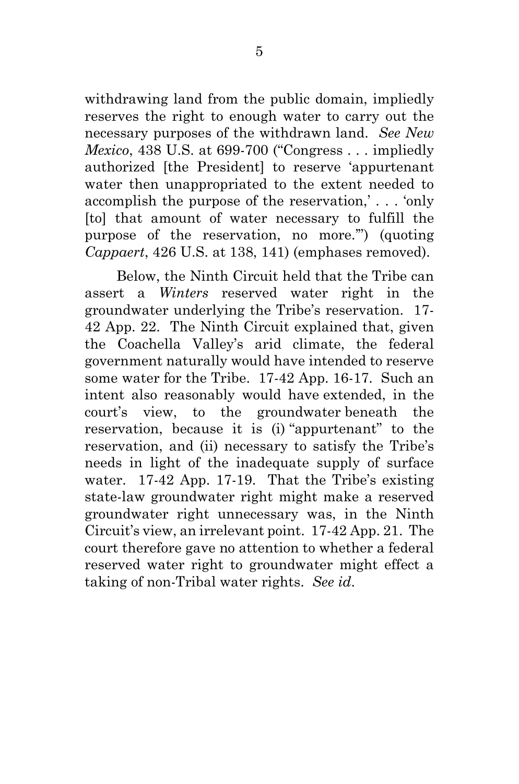withdrawing land from the public domain, impliedly reserves the right to enough water to carry out the necessary purposes of the withdrawn land. *See New Mexico*, 438 U.S. at 699-700 ("Congress . . . impliedly authorized [the President] to reserve 'appurtenant water then unappropriated to the extent needed to accomplish the purpose of the reservation,' . . . 'only [to] that amount of water necessary to fulfill the purpose of the reservation, no more.'") (quoting *Cappaert*, 426 U.S. at 138, 141) (emphases removed).

Below, the Ninth Circuit held that the Tribe can assert a *Winters* reserved water right in the groundwater underlying the Tribe's reservation. 17- 42 App. 22. The Ninth Circuit explained that, given the Coachella Valley's arid climate, the federal government naturally would have intended to reserve some water for the Tribe. 17-42 App. 16-17. Such an intent also reasonably would have extended, in the court's view, to the groundwater beneath the reservation, because it is (i) "appurtenant" to the reservation, and (ii) necessary to satisfy the Tribe's needs in light of the inadequate supply of surface water. 17-42 App. 17-19. That the Tribe's existing state-law groundwater right might make a reserved groundwater right unnecessary was, in the Ninth Circuit's view, an irrelevant point. 17-42 App. 21. The court therefore gave no attention to whether a federal reserved water right to groundwater might effect a taking of non-Tribal water rights. *See id*.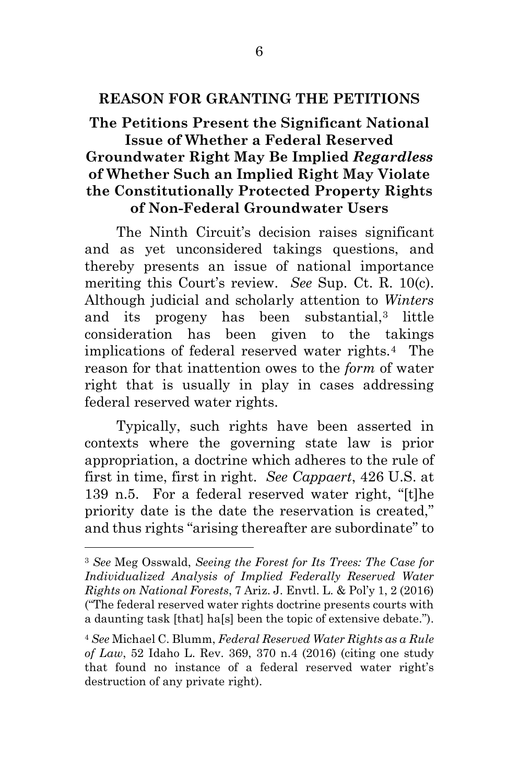### **REASON FOR GRANTING THE PETITIONS**

**The Petitions Present the Significant National Issue of Whether a Federal Reserved Groundwater Right May Be Implied** *Regardless* **of Whether Such an Implied Right May Violate the Constitutionally Protected Property Rights of Non-Federal Groundwater Users**

The Ninth Circuit's decision raises significant and as yet unconsidered takings questions, and thereby presents an issue of national importance meriting this Court's review. *See* Sup. Ct. R. 10(c). Although judicial and scholarly attention to *Winters* and its progeny has been substantial[,3](#page-12-0) little consideration has been given to the takings implications of federal reserved water rights.[4](#page-12-1) The reason for that inattention owes to the *form* of water right that is usually in play in cases addressing federal reserved water rights.

Typically, such rights have been asserted in contexts where the governing state law is prior appropriation, a doctrine which adheres to the rule of first in time, first in right. *See Cappaert*, 426 U.S. at 139 n.5. For a federal reserved water right, "[t]he priority date is the date the reservation is created," and thus rights "arising thereafter are subordinate" to

<span id="page-12-0"></span><sup>3</sup> *See* Meg Osswald, *Seeing the Forest for Its Trees: The Case for Individualized Analysis of Implied Federally Reserved Water Rights on National Forests*, 7 Ariz. J. Envtl. L. & Pol'y 1, 2 (2016) ("The federal reserved water rights doctrine presents courts with a daunting task [that] ha[s] been the topic of extensive debate.").

<span id="page-12-1"></span><sup>4</sup> *See* Michael C. Blumm, *Federal Reserved Water Rights as a Rule of Law*, 52 Idaho L. Rev. 369, 370 n.4 (2016) (citing one study that found no instance of a federal reserved water right's destruction of any private right).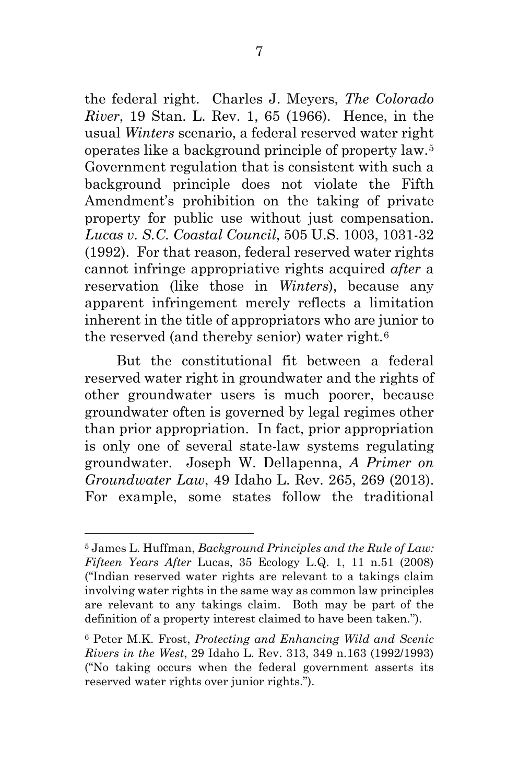the federal right. Charles J. Meyers, *The Colorado River*, 19 Stan. L. Rev. 1, 65 (1966). Hence, in the usual *Winters* scenario, a federal reserved water right operates like a background principle of property law.[5](#page-13-0) Government regulation that is consistent with such a background principle does not violate the Fifth Amendment's prohibition on the taking of private property for public use without just compensation. *Lucas v. S.C. Coastal Council*, 505 U.S. 1003, 1031-32 (1992). For that reason, federal reserved water rights cannot infringe appropriative rights acquired *after* a reservation (like those in *Winters*), because any apparent infringement merely reflects a limitation inherent in the title of appropriators who are junior to the reserved (and thereby senior) water right.[6](#page-13-1)

But the constitutional fit between a federal reserved water right in groundwater and the rights of other groundwater users is much poorer, because groundwater often is governed by legal regimes other than prior appropriation. In fact, prior appropriation is only one of several state-law systems regulating groundwater. Joseph W. Dellapenna, *A Primer on Groundwater Law*, 49 Idaho L. Rev. 265, 269 (2013). For example, some states follow the traditional

<span id="page-13-0"></span><sup>5</sup> James L. Huffman, *Background Principles and the Rule of Law: Fifteen Years After* Lucas, 35 Ecology L.Q. 1, 11 n.51 (2008) ("Indian reserved water rights are relevant to a takings claim involving water rights in the same way as common law principles are relevant to any takings claim. Both may be part of the definition of a property interest claimed to have been taken.").

<span id="page-13-1"></span><sup>6</sup> Peter M.K. Frost, *Protecting and Enhancing Wild and Scenic Rivers in the West*, 29 Idaho L. Rev. 313, 349 n.163 (1992/1993) ("No taking occurs when the federal government asserts its reserved water rights over junior rights.").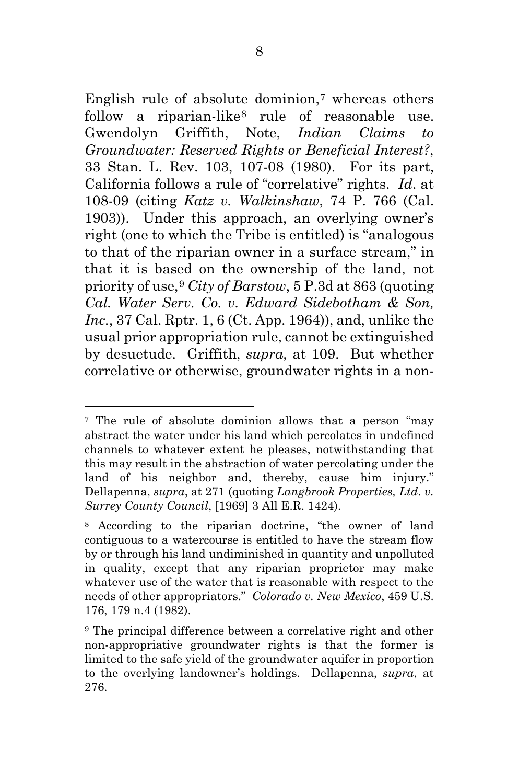English rule of absolute dominion, $\tau$  whereas others follow a riparian-like<sup>[8](#page-14-1)</sup> rule of reasonable use. Gwendolyn Griffith, Note, *Indian Claims to Groundwater: Reserved Rights or Beneficial Interest?*, 33 Stan. L. Rev. 103, 107-08 (1980). For its part, California follows a rule of "correlative" rights. *Id*. at 108-09 (citing *Katz v. Walkinshaw*, 74 P. 766 (Cal. 1903)). Under this approach, an overlying owner's right (one to which the Tribe is entitled) is "analogous to that of the riparian owner in a surface stream," in that it is based on the ownership of the land, not priority of use,[9](#page-14-2) *City of Barstow*, 5 P.3d at 863 (quoting *Cal. Water Serv. Co. v. Edward Sidebotham & Son, Inc.*, 37 Cal. Rptr. 1, 6 (Ct. App. 1964)), and, unlike the usual prior appropriation rule, cannot be extinguished by desuetude. Griffith, *supra*, at 109. But whether correlative or otherwise, groundwater rights in a non-

<span id="page-14-0"></span><sup>7</sup> The rule of absolute dominion allows that a person "may abstract the water under his land which percolates in undefined channels to whatever extent he pleases, notwithstanding that this may result in the abstraction of water percolating under the land of his neighbor and, thereby, cause him injury." Dellapenna, *supra*, at 271 (quoting *Langbrook Properties, Ltd. v. Surrey County Council*, [1969] 3 All E.R. 1424).

<span id="page-14-1"></span><sup>8</sup> According to the riparian doctrine, "the owner of land contiguous to a watercourse is entitled to have the stream flow by or through his land undiminished in quantity and unpolluted in quality, except that any riparian proprietor may make whatever use of the water that is reasonable with respect to the needs of other appropriators." *Colorado v. New Mexico*, 459 U.S. 176, 179 n.4 (1982).

<span id="page-14-2"></span><sup>9</sup> The principal difference between a correlative right and other non-appropriative groundwater rights is that the former is limited to the safe yield of the groundwater aquifer in proportion to the overlying landowner's holdings. Dellapenna, *supra*, at 276.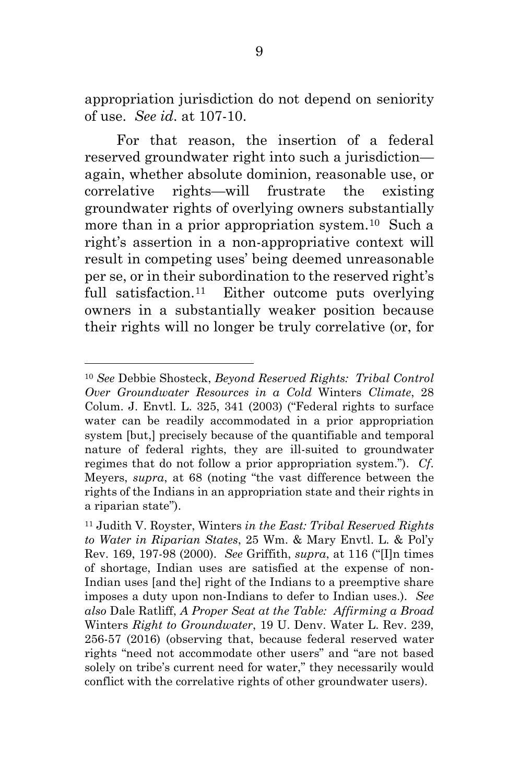appropriation jurisdiction do not depend on seniority of use. *See id*. at 107-10.

For that reason, the insertion of a federal reserved groundwater right into such a jurisdiction again, whether absolute dominion, reasonable use, or correlative rights—will frustrate the existing groundwater rights of overlying owners substantially more than in a prior appropriation system.<sup>10</sup> Such a right's assertion in a non-appropriative context will result in competing uses' being deemed unreasonable per se, or in their subordination to the reserved right's full satisfaction.<sup>11</sup> Either outcome puts overlying owners in a substantially weaker position because their rights will no longer be truly correlative (or, for

<span id="page-15-0"></span>l <sup>10</sup> *See* Debbie Shosteck, *Beyond Reserved Rights: Tribal Control Over Groundwater Resources in a Cold* Winters *Climate*, 28 Colum. J. Envtl. L. 325, 341 (2003) ("Federal rights to surface water can be readily accommodated in a prior appropriation system [but,] precisely because of the quantifiable and temporal nature of federal rights, they are ill-suited to groundwater regimes that do not follow a prior appropriation system."). *Cf*. Meyers, *supra*, at 68 (noting "the vast difference between the rights of the Indians in an appropriation state and their rights in a riparian state").

<span id="page-15-1"></span><sup>11</sup> Judith V. Royster, Winters *in the East: Tribal Reserved Rights to Water in Riparian States*, 25 Wm. & Mary Envtl. L. & Pol'y Rev. 169, 197-98 (2000). *See* Griffith, *supra*, at 116 ("[I]n times of shortage, Indian uses are satisfied at the expense of non-Indian uses [and the] right of the Indians to a preemptive share imposes a duty upon non-Indians to defer to Indian uses.). *See also* Dale Ratliff, *A Proper Seat at the Table: Affirming a Broad*  Winters *Right to Groundwater*, 19 U. Denv. Water L. Rev. 239, 256-57 (2016) (observing that, because federal reserved water rights "need not accommodate other users" and "are not based solely on tribe's current need for water," they necessarily would conflict with the correlative rights of other groundwater users).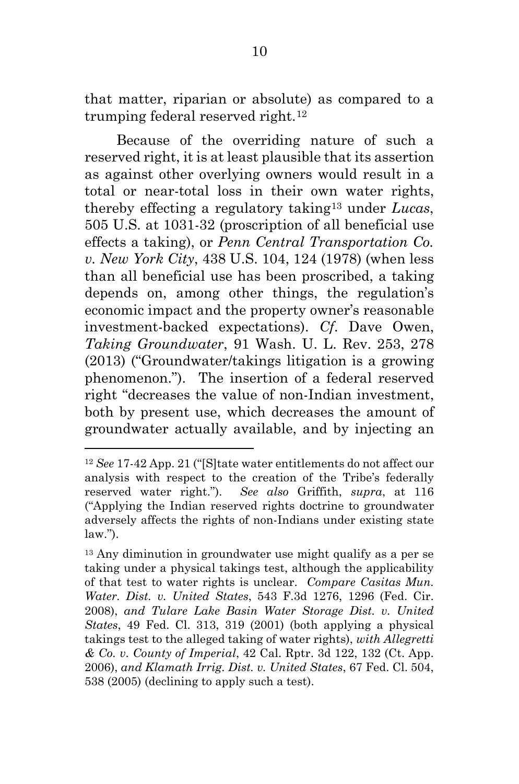that matter, riparian or absolute) as compared to a trumping federal reserved right.[12](#page-16-0)

Because of the overriding nature of such a reserved right, it is at least plausible that its assertion as against other overlying owners would result in a total or near-total loss in their own water rights, thereby effecting a regulatory taking[13](#page-16-1) under *Lucas*, 505 U.S. at 1031-32 (proscription of all beneficial use effects a taking), or *Penn Central Transportation Co. v. New York City*, 438 U.S. 104, 124 (1978) (when less than all beneficial use has been proscribed, a taking depends on, among other things, the regulation's economic impact and the property owner's reasonable investment-backed expectations). *Cf*. Dave Owen, *Taking Groundwater*, 91 Wash. U. L. Rev. 253, 278 (2013) ("Groundwater/takings litigation is a growing phenomenon."). The insertion of a federal reserved right "decreases the value of non-Indian investment, both by present use, which decreases the amount of groundwater actually available, and by injecting an

<span id="page-16-0"></span><sup>12</sup> *See* 17-42 App. 21 ("[S]tate water entitlements do not affect our analysis with respect to the creation of the Tribe's federally reserved water right."). *See also* Griffith, *supra*, at 116 ("Applying the Indian reserved rights doctrine to groundwater adversely affects the rights of non-Indians under existing state  $law.'$ ).

<span id="page-16-1"></span><sup>13</sup> Any diminution in groundwater use might qualify as a per se taking under a physical takings test, although the applicability of that test to water rights is unclear. *Compare Casitas Mun. Water. Dist. v. United States*, 543 F.3d 1276, 1296 (Fed. Cir. 2008), *and Tulare Lake Basin Water Storage Dist. v. United States*, 49 Fed. Cl. 313, 319 (2001) (both applying a physical takings test to the alleged taking of water rights), *with Allegretti & Co. v. County of Imperial*, 42 Cal. Rptr. 3d 122, 132 (Ct. App. 2006), *and Klamath Irrig. Dist. v. United States*, 67 Fed. Cl. 504, 538 (2005) (declining to apply such a test).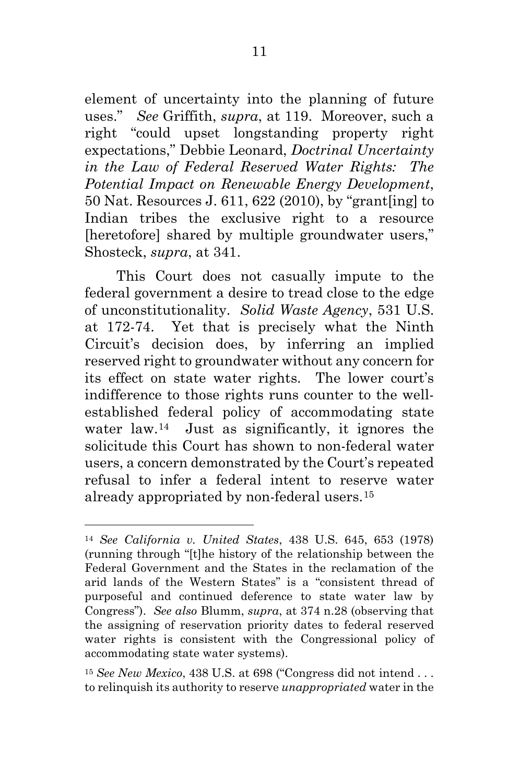element of uncertainty into the planning of future uses." *See* Griffith, *supra*, at 119. Moreover, such a right "could upset longstanding property right expectations," Debbie Leonard, *Doctrinal Uncertainty in the Law of Federal Reserved Water Rights: The Potential Impact on Renewable Energy Development*, 50 Nat. Resources J. 611, 622 (2010), by "grant[ing] to Indian tribes the exclusive right to a resource [heretofore] shared by multiple groundwater users," Shosteck, *supra*, at 341.

This Court does not casually impute to the federal government a desire to tread close to the edge of unconstitutionality. *Solid Waste Agency*, 531 U.S. at 172-74. Yet that is precisely what the Ninth Circuit's decision does, by inferring an implied reserved right to groundwater without any concern for its effect on state water rights. The lower court's indifference to those rights runs counter to the wellestablished federal policy of accommodating state water law.[14](#page-17-0) Just as significantly, it ignores the solicitude this Court has shown to non-federal water users, a concern demonstrated by the Court's repeated refusal to infer a federal intent to reserve water already appropriated by non-federal users.[15](#page-17-1)

<span id="page-17-0"></span><sup>14</sup> *See California v. United States*, 438 U.S. 645, 653 (1978) (running through "[t]he history of the relationship between the Federal Government and the States in the reclamation of the arid lands of the Western States" is a "consistent thread of purposeful and continued deference to state water law by Congress"). *See also* Blumm, *supra*, at 374 n.28 (observing that the assigning of reservation priority dates to federal reserved water rights is consistent with the Congressional policy of accommodating state water systems).

<span id="page-17-1"></span><sup>15</sup> *See New Mexico*, 438 U.S. at 698 ("Congress did not intend . . . to relinquish its authority to reserve *unappropriated* water in the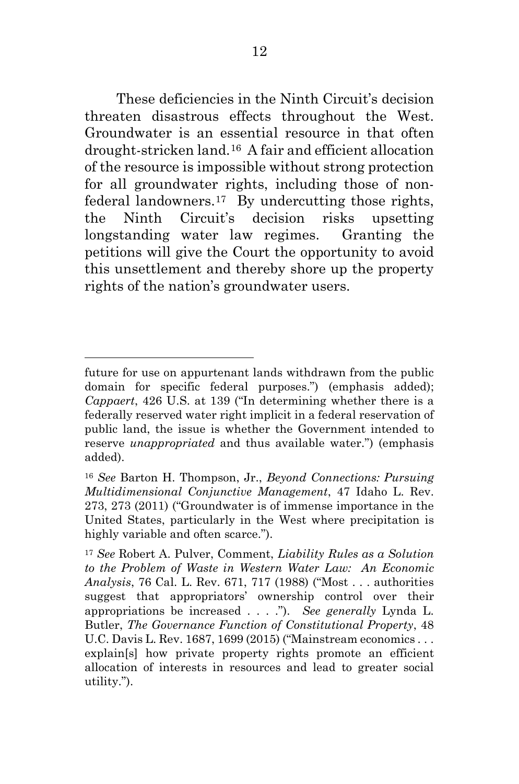These deficiencies in the Ninth Circuit's decision threaten disastrous effects throughout the West. Groundwater is an essential resource in that often drought-stricken land.[16](#page-18-0) A fair and efficient allocation of the resource is impossible without strong protection for all groundwater rights, including those of nonfederal landowners.[17](#page-18-1) By undercutting those rights, the Ninth Circuit's decision risks upsetting longstanding water law regimes. Granting the petitions will give the Court the opportunity to avoid this unsettlement and thereby shore up the property rights of the nation's groundwater users.

future for use on appurtenant lands withdrawn from the public domain for specific federal purposes.") (emphasis added); *Cappaert*, 426 U.S. at 139 ("In determining whether there is a federally reserved water right implicit in a federal reservation of public land, the issue is whether the Government intended to reserve *unappropriated* and thus available water.") (emphasis added).

<span id="page-18-0"></span><sup>16</sup> *See* Barton H. Thompson, Jr., *Beyond Connections: Pursuing Multidimensional Conjunctive Management*, 47 Idaho L. Rev. 273, 273 (2011) ("Groundwater is of immense importance in the United States, particularly in the West where precipitation is highly variable and often scarce.").

<span id="page-18-1"></span><sup>17</sup> *See* Robert A. Pulver, Comment, *Liability Rules as a Solution to the Problem of Waste in Western Water Law: An Economic Analysis*, 76 Cal. L. Rev. 671, 717 (1988) ("Most . . . authorities suggest that appropriators' ownership control over their appropriations be increased . . . ."). *See generally* Lynda L. Butler, *The Governance Function of Constitutional Property*, 48 U.C. Davis L. Rev. 1687, 1699 (2015) ("Mainstream economics . . . explain[s] how private property rights promote an efficient allocation of interests in resources and lead to greater social utility.").